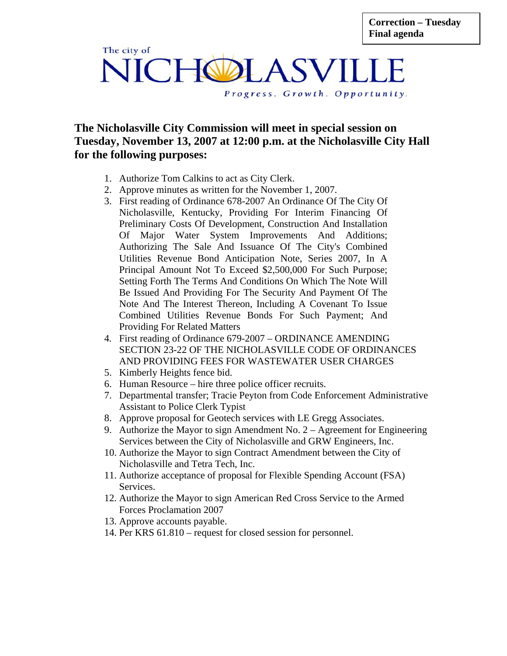The city of NICHOLASVILI

Progress. Growth. Opportunity.

## **The Nicholasville City Commission will meet in special session on Tuesday, November 13, 2007 at 12:00 p.m. at the Nicholasville City Hall for the following purposes:**

- 1. Authorize Tom Calkins to act as City Clerk.
- 2. Approve minutes as written for the November 1, 2007.
- 3. First reading of Ordinance 678-2007 An Ordinance Of The City Of Nicholasville, Kentucky, Providing For Interim Financing Of Preliminary Costs Of Development, Construction And Installation Of Major Water System Improvements And Additions; Authorizing The Sale And Issuance Of The City's Combined Utilities Revenue Bond Anticipation Note, Series 2007, In A Principal Amount Not To Exceed \$2,500,000 For Such Purpose; Setting Forth The Terms And Conditions On Which The Note Will Be Issued And Providing For The Security And Payment Of The Note And The Interest Thereon, Including A Covenant To Issue Combined Utilities Revenue Bonds For Such Payment; And Providing For Related Matters
- 4. First reading of Ordinance 679-2007 ORDINANCE AMENDING SECTION 23-22 OF THE NICHOLASVILLE CODE OF ORDINANCES AND PROVIDING FEES FOR WASTEWATER USER CHARGES
- 5. Kimberly Heights fence bid.
- 6. Human Resource hire three police officer recruits.
- 7. Departmental transfer; Tracie Peyton from Code Enforcement Administrative Assistant to Police Clerk Typist
- 8. Approve proposal for Geotech services with LE Gregg Associates.
- 9. Authorize the Mayor to sign Amendment No. 2 Agreement for Engineering Services between the City of Nicholasville and GRW Engineers, Inc.
- 10. Authorize the Mayor to sign Contract Amendment between the City of Nicholasville and Tetra Tech, Inc.
- 11. Authorize acceptance of proposal for Flexible Spending Account (FSA) Services.
- 12. Authorize the Mayor to sign American Red Cross Service to the Armed Forces Proclamation 2007
- 13. Approve accounts payable.
- 14. Per KRS 61.810 request for closed session for personnel.